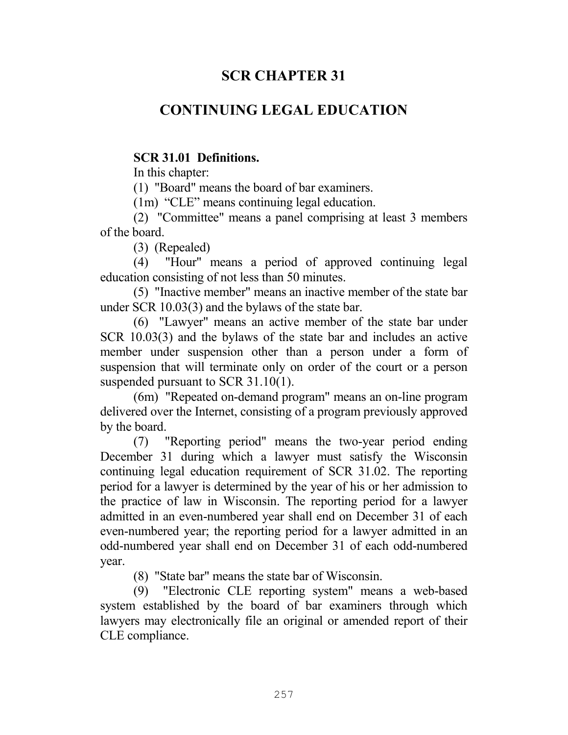# **SCR CHAPTER 31**

# **CONTINUING LEGAL EDUCATION**

### **SCR 31.01 Definitions.**

In this chapter:

(1) "Board" means the board of bar examiners.

(1m) "CLE" means continuing legal education.

 (2) "Committee" means a panel comprising at least 3 members of the board.

(3) (Repealed)

 (4) "Hour" means a period of approved continuing legal education consisting of not less than 50 minutes.

 (5) "Inactive member" means an inactive member of the state bar under SCR 10.03(3) and the bylaws of the state bar.

 (6) "Lawyer" means an active member of the state bar under SCR 10.03(3) and the bylaws of the state bar and includes an active member under suspension other than a person under a form of suspension that will terminate only on order of the court or a person suspended pursuant to SCR 31.10(1).

 (6m) "Repeated on-demand program" means an on-line program delivered over the Internet, consisting of a program previously approved by the board.

 (7) "Reporting period" means the two-year period ending December 31 during which a lawyer must satisfy the Wisconsin continuing legal education requirement of SCR 31.02. The reporting period for a lawyer is determined by the year of his or her admission to the practice of law in Wisconsin. The reporting period for a lawyer admitted in an even-numbered year shall end on December 31 of each even-numbered year; the reporting period for a lawyer admitted in an odd-numbered year shall end on December 31 of each odd-numbered year.

(8) "State bar" means the state bar of Wisconsin.

 (9) "Electronic CLE reporting system" means a web-based system established by the board of bar examiners through which lawyers may electronically file an original or amended report of their CLE compliance.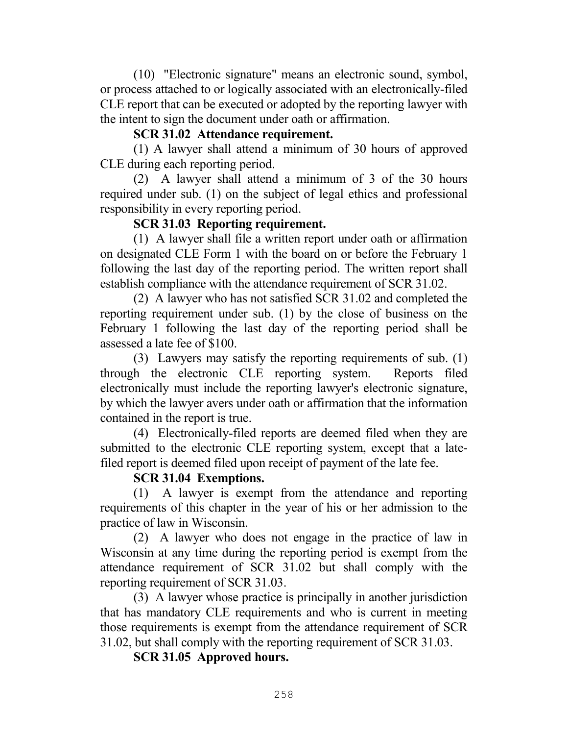(10) "Electronic signature" means an electronic sound, symbol, or process attached to or logically associated with an electronically-filed CLE report that can be executed or adopted by the reporting lawyer with the intent to sign the document under oath or affirmation.

### **SCR 31.02 Attendance requirement.**

 (1) A lawyer shall attend a minimum of 30 hours of approved CLE during each reporting period.

 (2) A lawyer shall attend a minimum of 3 of the 30 hours required under sub. (1) on the subject of legal ethics and professional responsibility in every reporting period.

### **SCR 31.03 Reporting requirement.**

 (1) A lawyer shall file a written report under oath or affirmation on designated CLE Form 1 with the board on or before the February 1 following the last day of the reporting period. The written report shall establish compliance with the attendance requirement of SCR 31.02.

 (2) A lawyer who has not satisfied SCR 31.02 and completed the reporting requirement under sub. (1) by the close of business on the February 1 following the last day of the reporting period shall be assessed a late fee of \$100.

 (3) Lawyers may satisfy the reporting requirements of sub. (1) through the electronic CLE reporting system. Reports filed electronically must include the reporting lawyer's electronic signature, by which the lawyer avers under oath or affirmation that the information contained in the report is true.

 (4) Electronically-filed reports are deemed filed when they are submitted to the electronic CLE reporting system, except that a latefiled report is deemed filed upon receipt of payment of the late fee.

# **SCR 31.04 Exemptions.**

 (1) A lawyer is exempt from the attendance and reporting requirements of this chapter in the year of his or her admission to the practice of law in Wisconsin.

 (2) A lawyer who does not engage in the practice of law in Wisconsin at any time during the reporting period is exempt from the attendance requirement of SCR 31.02 but shall comply with the reporting requirement of SCR 31.03.

 (3) A lawyer whose practice is principally in another jurisdiction that has mandatory CLE requirements and who is current in meeting those requirements is exempt from the attendance requirement of SCR 31.02, but shall comply with the reporting requirement of SCR 31.03.

 **SCR 31.05 Approved hours.**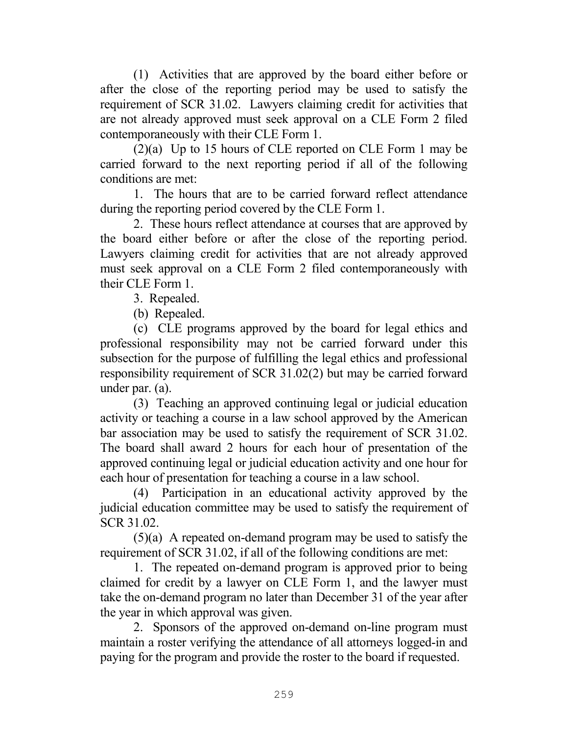(1) Activities that are approved by the board either before or after the close of the reporting period may be used to satisfy the requirement of SCR 31.02. Lawyers claiming credit for activities that are not already approved must seek approval on a CLE Form 2 filed contemporaneously with their CLE Form 1.

 (2)(a) Up to 15 hours of CLE reported on CLE Form 1 may be carried forward to the next reporting period if all of the following conditions are met:

 1. The hours that are to be carried forward reflect attendance during the reporting period covered by the CLE Form 1.

 2. These hours reflect attendance at courses that are approved by the board either before or after the close of the reporting period. Lawyers claiming credit for activities that are not already approved must seek approval on a CLE Form 2 filed contemporaneously with their CLE Form 1.

3. Repealed.

(b) Repealed.

 (c) CLE programs approved by the board for legal ethics and professional responsibility may not be carried forward under this subsection for the purpose of fulfilling the legal ethics and professional responsibility requirement of SCR 31.02(2) but may be carried forward under par. (a).

 (3) Teaching an approved continuing legal or judicial education activity or teaching a course in a law school approved by the American bar association may be used to satisfy the requirement of SCR 31.02. The board shall award 2 hours for each hour of presentation of the approved continuing legal or judicial education activity and one hour for each hour of presentation for teaching a course in a law school.

 (4) Participation in an educational activity approved by the judicial education committee may be used to satisfy the requirement of SCR 31.02.

(5)(a) A repeated on-demand program may be used to satisfy the requirement of SCR 31.02, if all of the following conditions are met:

1. The repeated on-demand program is approved prior to being claimed for credit by a lawyer on CLE Form 1, and the lawyer must take the on-demand program no later than December 31 of the year after the year in which approval was given.

2. Sponsors of the approved on-demand on-line program must maintain a roster verifying the attendance of all attorneys logged-in and paying for the program and provide the roster to the board if requested.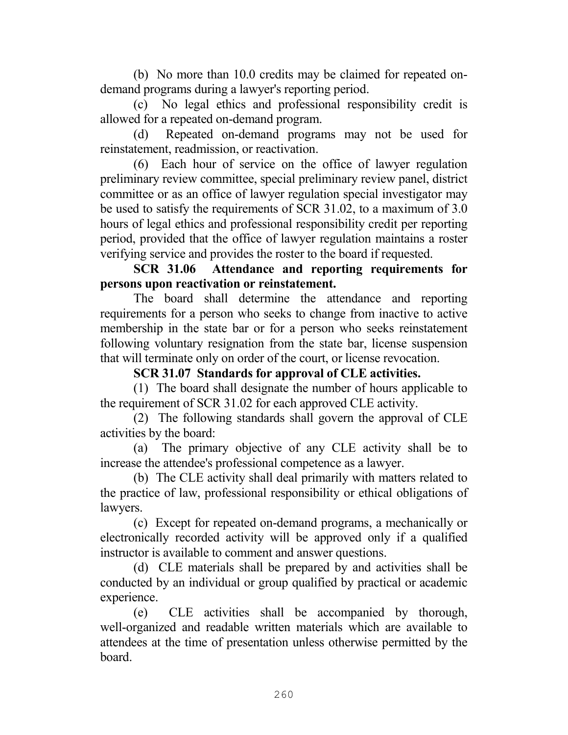(b) No more than 10.0 credits may be claimed for repeated ondemand programs during a lawyer's reporting period.

(c) No legal ethics and professional responsibility credit is allowed for a repeated on-demand program.

(d) Repeated on-demand programs may not be used for reinstatement, readmission, or reactivation.

(6) Each hour of service on the office of lawyer regulation preliminary review committee, special preliminary review panel, district committee or as an office of lawyer regulation special investigator may be used to satisfy the requirements of SCR 31.02, to a maximum of 3.0 hours of legal ethics and professional responsibility credit per reporting period, provided that the office of lawyer regulation maintains a roster verifying service and provides the roster to the board if requested.

 **SCR 31.06 Attendance and reporting requirements for persons upon reactivation or reinstatement.** 

 The board shall determine the attendance and reporting requirements for a person who seeks to change from inactive to active membership in the state bar or for a person who seeks reinstatement following voluntary resignation from the state bar, license suspension that will terminate only on order of the court, or license revocation.

# **SCR 31.07 Standards for approval of CLE activities.**

 (1) The board shall designate the number of hours applicable to the requirement of SCR 31.02 for each approved CLE activity.

 (2) The following standards shall govern the approval of CLE activities by the board:

 (a) The primary objective of any CLE activity shall be to increase the attendee's professional competence as a lawyer.

 (b) The CLE activity shall deal primarily with matters related to the practice of law, professional responsibility or ethical obligations of lawyers.

 (c) Except for repeated on-demand programs, a mechanically or electronically recorded activity will be approved only if a qualified instructor is available to comment and answer questions.

 (d) CLE materials shall be prepared by and activities shall be conducted by an individual or group qualified by practical or academic experience.

 (e) CLE activities shall be accompanied by thorough, well-organized and readable written materials which are available to attendees at the time of presentation unless otherwise permitted by the board.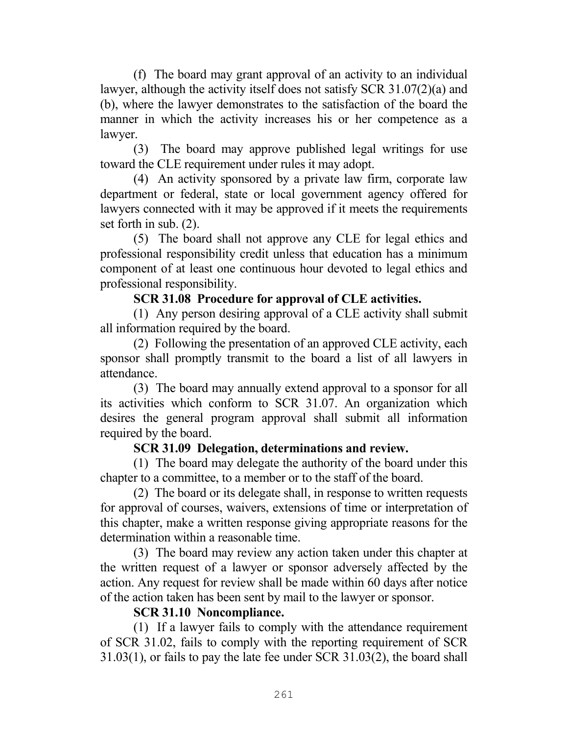(f) The board may grant approval of an activity to an individual lawyer, although the activity itself does not satisfy SCR 31.07(2)(a) and (b), where the lawyer demonstrates to the satisfaction of the board the manner in which the activity increases his or her competence as a lawyer.

 (3) The board may approve published legal writings for use toward the CLE requirement under rules it may adopt.

 (4) An activity sponsored by a private law firm, corporate law department or federal, state or local government agency offered for lawyers connected with it may be approved if it meets the requirements set forth in sub. (2).

 (5) The board shall not approve any CLE for legal ethics and professional responsibility credit unless that education has a minimum component of at least one continuous hour devoted to legal ethics and professional responsibility.

# **SCR 31.08 Procedure for approval of CLE activities.**

 (1) Any person desiring approval of a CLE activity shall submit all information required by the board.

 (2) Following the presentation of an approved CLE activity, each sponsor shall promptly transmit to the board a list of all lawyers in attendance.

 (3) The board may annually extend approval to a sponsor for all its activities which conform to SCR 31.07. An organization which desires the general program approval shall submit all information required by the board.

# **SCR 31.09 Delegation, determinations and review.**

 (1) The board may delegate the authority of the board under this chapter to a committee, to a member or to the staff of the board.

 (2) The board or its delegate shall, in response to written requests for approval of courses, waivers, extensions of time or interpretation of this chapter, make a written response giving appropriate reasons for the determination within a reasonable time.

 (3) The board may review any action taken under this chapter at the written request of a lawyer or sponsor adversely affected by the action. Any request for review shall be made within 60 days after notice of the action taken has been sent by mail to the lawyer or sponsor.

### **SCR 31.10 Noncompliance.**

 (1) If a lawyer fails to comply with the attendance requirement of SCR 31.02, fails to comply with the reporting requirement of SCR 31.03(1), or fails to pay the late fee under SCR 31.03(2), the board shall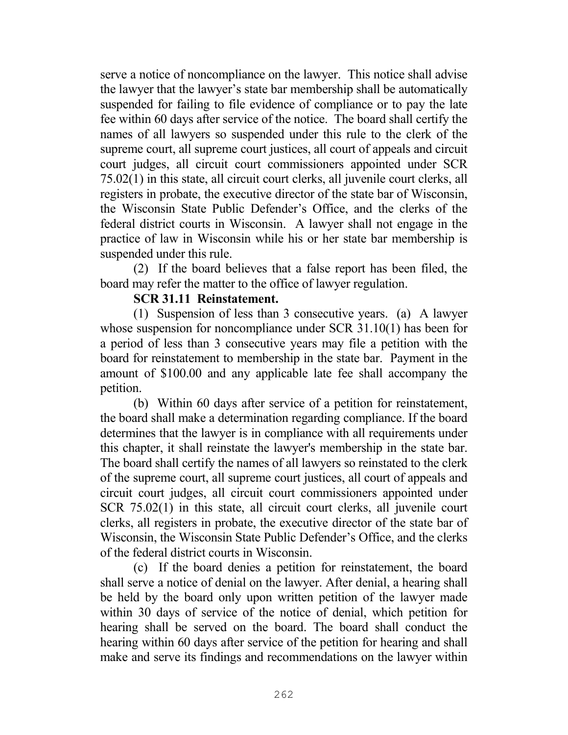serve a notice of noncompliance on the lawyer. This notice shall advise the lawyer that the lawyer's state bar membership shall be automatically suspended for failing to file evidence of compliance or to pay the late fee within 60 days after service of the notice. The board shall certify the names of all lawyers so suspended under this rule to the clerk of the supreme court, all supreme court justices, all court of appeals and circuit court judges, all circuit court commissioners appointed under SCR 75.02(1) in this state, all circuit court clerks, all juvenile court clerks, all registers in probate, the executive director of the state bar of Wisconsin, the Wisconsin State Public Defender's Office, and the clerks of the federal district courts in Wisconsin. A lawyer shall not engage in the practice of law in Wisconsin while his or her state bar membership is suspended under this rule.

 (2) If the board believes that a false report has been filed, the board may refer the matter to the office of lawyer regulation.

### **SCR 31.11 Reinstatement.**

 (1) Suspension of less than 3 consecutive years. (a) A lawyer whose suspension for noncompliance under SCR 31.10(1) has been for a period of less than 3 consecutive years may file a petition with the board for reinstatement to membership in the state bar. Payment in the amount of \$100.00 and any applicable late fee shall accompany the petition.

 (b) Within 60 days after service of a petition for reinstatement, the board shall make a determination regarding compliance. If the board determines that the lawyer is in compliance with all requirements under this chapter, it shall reinstate the lawyer's membership in the state bar. The board shall certify the names of all lawyers so reinstated to the clerk of the supreme court, all supreme court justices, all court of appeals and circuit court judges, all circuit court commissioners appointed under SCR 75.02(1) in this state, all circuit court clerks, all juvenile court clerks, all registers in probate, the executive director of the state bar of Wisconsin, the Wisconsin State Public Defender's Office, and the clerks of the federal district courts in Wisconsin.

 (c) If the board denies a petition for reinstatement, the board shall serve a notice of denial on the lawyer. After denial, a hearing shall be held by the board only upon written petition of the lawyer made within 30 days of service of the notice of denial, which petition for hearing shall be served on the board. The board shall conduct the hearing within 60 days after service of the petition for hearing and shall make and serve its findings and recommendations on the lawyer within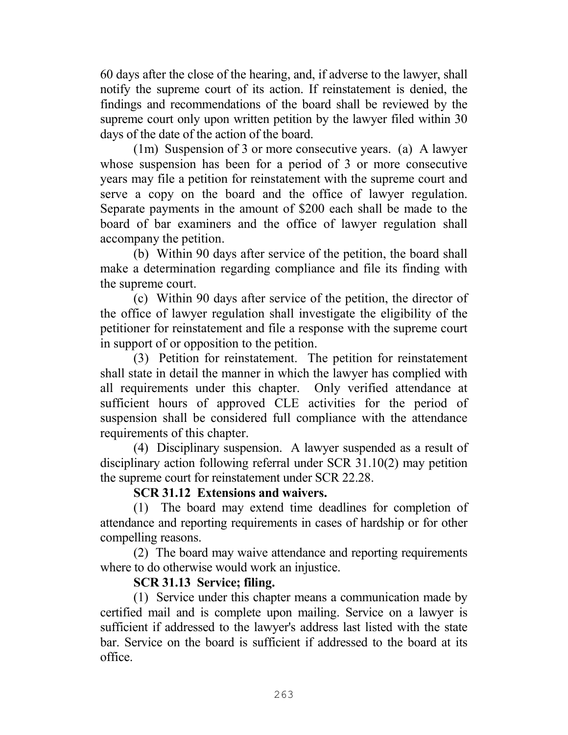60 days after the close of the hearing, and, if adverse to the lawyer, shall notify the supreme court of its action. If reinstatement is denied, the findings and recommendations of the board shall be reviewed by the supreme court only upon written petition by the lawyer filed within 30 days of the date of the action of the board.

(1m) Suspension of 3 or more consecutive years. (a) A lawyer whose suspension has been for a period of 3 or more consecutive years may file a petition for reinstatement with the supreme court and serve a copy on the board and the office of lawyer regulation. Separate payments in the amount of \$200 each shall be made to the board of bar examiners and the office of lawyer regulation shall accompany the petition.

(b) Within 90 days after service of the petition, the board shall make a determination regarding compliance and file its finding with the supreme court.

(c) Within 90 days after service of the petition, the director of the office of lawyer regulation shall investigate the eligibility of the petitioner for reinstatement and file a response with the supreme court in support of or opposition to the petition.

(3) Petition for reinstatement. The petition for reinstatement shall state in detail the manner in which the lawyer has complied with all requirements under this chapter. Only verified attendance at sufficient hours of approved CLE activities for the period of suspension shall be considered full compliance with the attendance requirements of this chapter.

 (4) Disciplinary suspension. A lawyer suspended as a result of disciplinary action following referral under SCR 31.10(2) may petition the supreme court for reinstatement under SCR 22.28.

# **SCR 31.12 Extensions and waivers.**

 (1) The board may extend time deadlines for completion of attendance and reporting requirements in cases of hardship or for other compelling reasons.

 (2) The board may waive attendance and reporting requirements where to do otherwise would work an injustice.

# **SCR 31.13 Service; filing.**

 (1) Service under this chapter means a communication made by certified mail and is complete upon mailing. Service on a lawyer is sufficient if addressed to the lawyer's address last listed with the state bar. Service on the board is sufficient if addressed to the board at its office.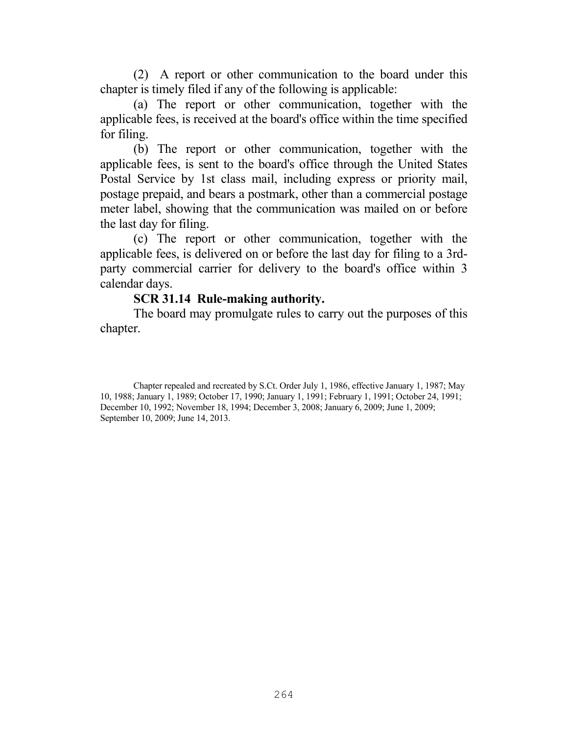(2) A report or other communication to the board under this chapter is timely filed if any of the following is applicable:

(a) The report or other communication, together with the applicable fees, is received at the board's office within the time specified for filing.

(b) The report or other communication, together with the applicable fees, is sent to the board's office through the United States Postal Service by 1st class mail, including express or priority mail, postage prepaid, and bears a postmark, other than a commercial postage meter label, showing that the communication was mailed on or before the last day for filing.

(c) The report or other communication, together with the applicable fees, is delivered on or before the last day for filing to a 3rdparty commercial carrier for delivery to the board's office within 3 calendar days.

### **SCR 31.14 Rule-making authority.**

 The board may promulgate rules to carry out the purposes of this chapter.

Chapter repealed and recreated by S.Ct. Order July 1, 1986, effective January 1, 1987; May 10, 1988; January 1, 1989; October 17, 1990; January 1, 1991; February 1, 1991; October 24, 1991; December 10, 1992; November 18, 1994; December 3, 2008; January 6, 2009; June 1, 2009; September 10, 2009; June 14, 2013.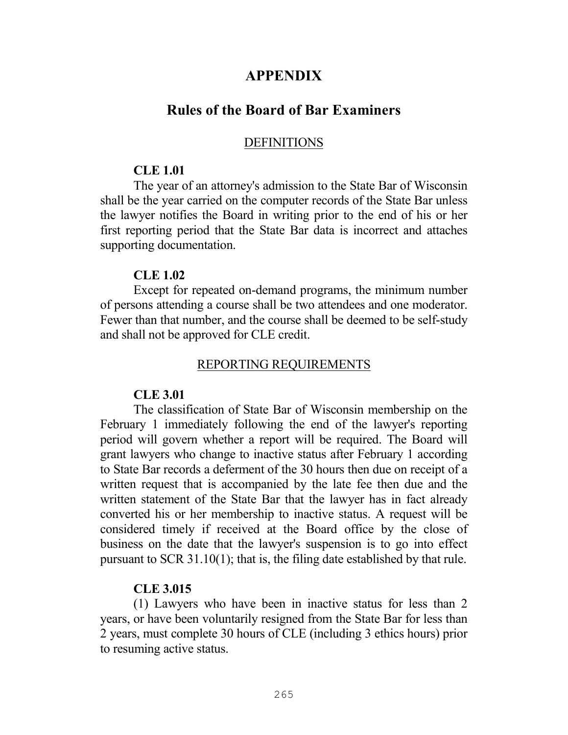# **APPENDIX**

# **Rules of the Board of Bar Examiners**

#### **DEFINITIONS**

#### **CLE 1.01**

 The year of an attorney's admission to the State Bar of Wisconsin shall be the year carried on the computer records of the State Bar unless the lawyer notifies the Board in writing prior to the end of his or her first reporting period that the State Bar data is incorrect and attaches supporting documentation.

### **CLE 1.02**

 Except for repeated on-demand programs, the minimum number of persons attending a course shall be two attendees and one moderator. Fewer than that number, and the course shall be deemed to be self-study and shall not be approved for CLE credit.

#### REPORTING REQUIREMENTS

### **CLE 3.01**

 The classification of State Bar of Wisconsin membership on the February 1 immediately following the end of the lawyer's reporting period will govern whether a report will be required. The Board will grant lawyers who change to inactive status after February 1 according to State Bar records a deferment of the 30 hours then due on receipt of a written request that is accompanied by the late fee then due and the written statement of the State Bar that the lawyer has in fact already converted his or her membership to inactive status. A request will be considered timely if received at the Board office by the close of business on the date that the lawyer's suspension is to go into effect pursuant to SCR 31.10(1); that is, the filing date established by that rule.

#### **CLE 3.015**

(1) Lawyers who have been in inactive status for less than 2 years, or have been voluntarily resigned from the State Bar for less than 2 years, must complete 30 hours of CLE (including 3 ethics hours) prior to resuming active status.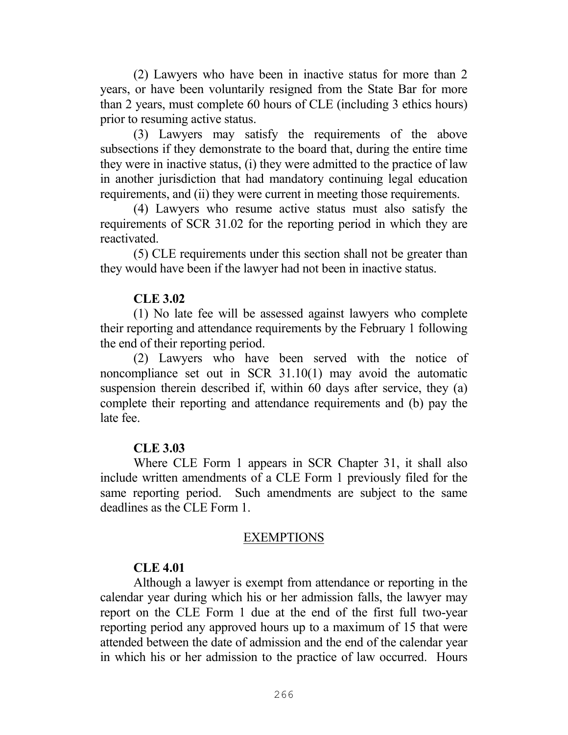(2) Lawyers who have been in inactive status for more than 2 years, or have been voluntarily resigned from the State Bar for more than 2 years, must complete 60 hours of CLE (including 3 ethics hours) prior to resuming active status.

(3) Lawyers may satisfy the requirements of the above subsections if they demonstrate to the board that, during the entire time they were in inactive status, (i) they were admitted to the practice of law in another jurisdiction that had mandatory continuing legal education requirements, and (ii) they were current in meeting those requirements.

(4) Lawyers who resume active status must also satisfy the requirements of SCR 31.02 for the reporting period in which they are reactivated.

(5) CLE requirements under this section shall not be greater than they would have been if the lawyer had not been in inactive status.

### **CLE 3.02**

 (1) No late fee will be assessed against lawyers who complete their reporting and attendance requirements by the February 1 following the end of their reporting period.

 (2) Lawyers who have been served with the notice of noncompliance set out in SCR 31.10(1) may avoid the automatic suspension therein described if, within 60 days after service, they (a) complete their reporting and attendance requirements and (b) pay the late fee.

# **CLE 3.03**

 Where CLE Form 1 appears in SCR Chapter 31, it shall also include written amendments of a CLE Form 1 previously filed for the same reporting period. Such amendments are subject to the same deadlines as the CLE Form 1.

### EXEMPTIONS

# **CLE 4.01**

 Although a lawyer is exempt from attendance or reporting in the calendar year during which his or her admission falls, the lawyer may report on the CLE Form 1 due at the end of the first full two-year reporting period any approved hours up to a maximum of 15 that were attended between the date of admission and the end of the calendar year in which his or her admission to the practice of law occurred. Hours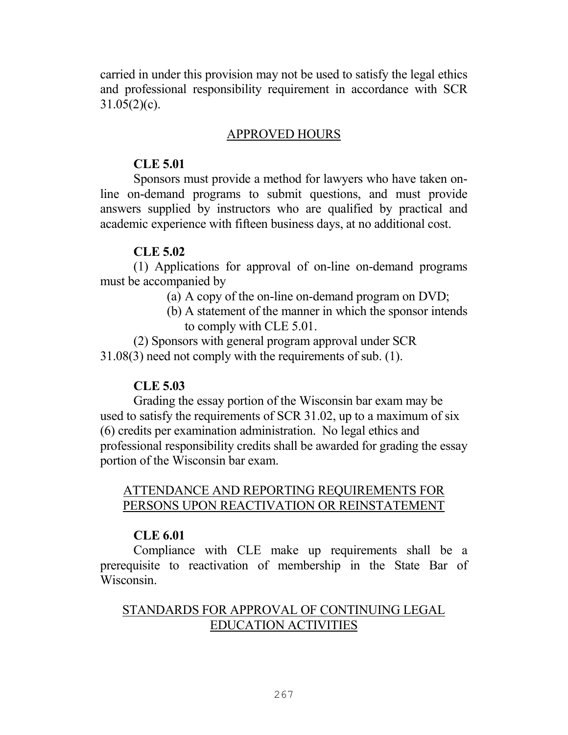carried in under this provision may not be used to satisfy the legal ethics and professional responsibility requirement in accordance with SCR  $31.05(2)(c)$ .

# APPROVED HOURS

### **CLE 5.01**

Sponsors must provide a method for lawyers who have taken online on-demand programs to submit questions, and must provide answers supplied by instructors who are qualified by practical and academic experience with fifteen business days, at no additional cost.

# **CLE 5.02**

(1) Applications for approval of on-line on-demand programs must be accompanied by

- (a) A copy of the on-line on-demand program on DVD;
- (b) A statement of the manner in which the sponsor intends to comply with CLE 5.01.

(2) Sponsors with general program approval under SCR 31.08(3) need not comply with the requirements of sub. (1).

# **CLE 5.03**

Grading the essay portion of the Wisconsin bar exam may be used to satisfy the requirements of SCR 31.02, up to a maximum of six (6) credits per examination administration. No legal ethics and professional responsibility credits shall be awarded for grading the essay portion of the Wisconsin bar exam.

# ATTENDANCE AND REPORTING REQUIREMENTS FOR PERSONS UPON REACTIVATION OR REINSTATEMENT

# **CLE 6.01**

 Compliance with CLE make up requirements shall be a prerequisite to reactivation of membership in the State Bar of Wisconsin.

# STANDARDS FOR APPROVAL OF CONTINUING LEGAL EDUCATION ACTIVITIES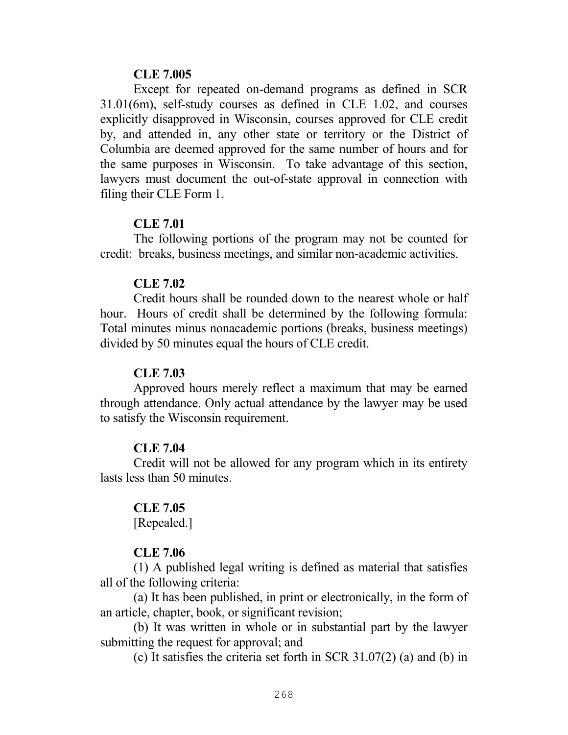#### **CLE 7.005**

 Except for repeated on-demand programs as defined in SCR 31.01(6m), self-study courses as defined in CLE 1.02, and courses explicitly disapproved in Wisconsin, courses approved for CLE credit by, and attended in, any other state or territory or the District of Columbia are deemed approved for the same number of hours and for the same purposes in Wisconsin. To take advantage of this section, lawyers must document the out-of-state approval in connection with filing their CLE Form 1.

### **CLE 7.01**

 The following portions of the program may not be counted for credit: breaks, business meetings, and similar non-academic activities.

### **CLE 7.02**

 Credit hours shall be rounded down to the nearest whole or half hour. Hours of credit shall be determined by the following formula: Total minutes minus nonacademic portions (breaks, business meetings) divided by 50 minutes equal the hours of CLE credit.

### **CLE 7.03**

 Approved hours merely reflect a maximum that may be earned through attendance. Only actual attendance by the lawyer may be used to satisfy the Wisconsin requirement.

### **CLE 7.04**

 Credit will not be allowed for any program which in its entirety lasts less than 50 minutes.

### **CLE 7.05**

[Repealed.]

# **CLE 7.06**

(1) A published legal writing is defined as material that satisfies all of the following criteria:

(a) It has been published, in print or electronically, in the form of an article, chapter, book, or significant revision;

(b) It was written in whole or in substantial part by the lawyer submitting the request for approval; and

(c) It satisfies the criteria set forth in SCR 31.07(2) (a) and (b) in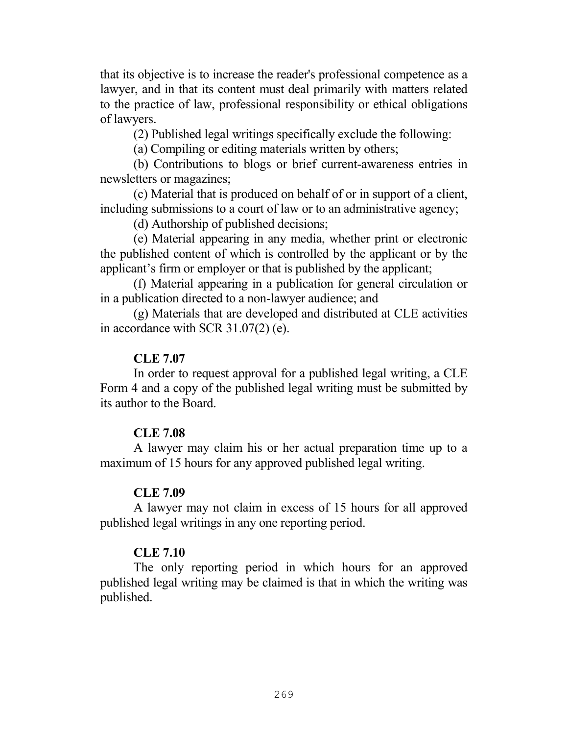that its objective is to increase the reader's professional competence as a lawyer, and in that its content must deal primarily with matters related to the practice of law, professional responsibility or ethical obligations of lawyers.

(2) Published legal writings specifically exclude the following:

(a) Compiling or editing materials written by others;

(b) Contributions to blogs or brief current-awareness entries in newsletters or magazines;

(c) Material that is produced on behalf of or in support of a client, including submissions to a court of law or to an administrative agency;

(d) Authorship of published decisions;

(e) Material appearing in any media, whether print or electronic the published content of which is controlled by the applicant or by the applicant's firm or employer or that is published by the applicant;

(f) Material appearing in a publication for general circulation or in a publication directed to a non-lawyer audience; and

(g) Materials that are developed and distributed at CLE activities in accordance with SCR 31.07(2) (e).

### **CLE 7.07**

 In order to request approval for a published legal writing, a CLE Form 4 and a copy of the published legal writing must be submitted by its author to the Board.

#### **CLE 7.08**

 A lawyer may claim his or her actual preparation time up to a maximum of 15 hours for any approved published legal writing.

#### **CLE 7.09**

 A lawyer may not claim in excess of 15 hours for all approved published legal writings in any one reporting period.

#### **CLE 7.10**

 The only reporting period in which hours for an approved published legal writing may be claimed is that in which the writing was published.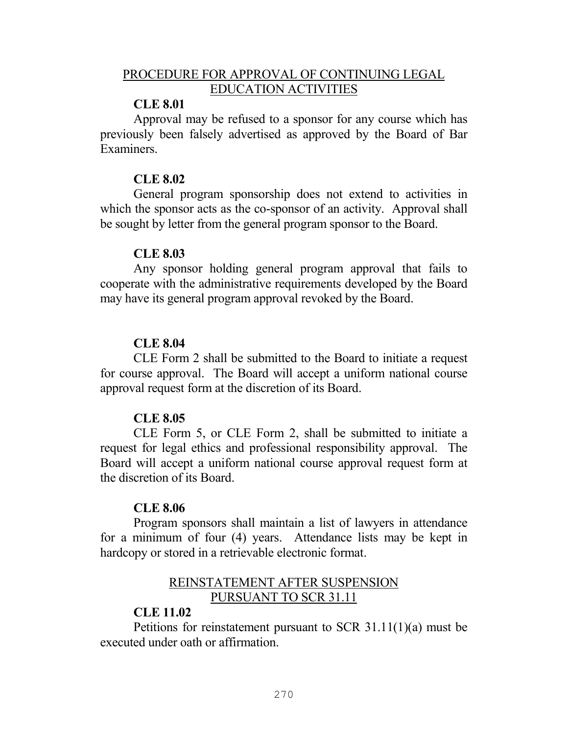# PROCEDURE FOR APPROVAL OF CONTINUING LEGAL EDUCATION ACTIVITIES

### **CLE 8.01**

 Approval may be refused to a sponsor for any course which has previously been falsely advertised as approved by the Board of Bar Examiners.

### **CLE 8.02**

 General program sponsorship does not extend to activities in which the sponsor acts as the co-sponsor of an activity. Approval shall be sought by letter from the general program sponsor to the Board.

### **CLE 8.03**

 Any sponsor holding general program approval that fails to cooperate with the administrative requirements developed by the Board may have its general program approval revoked by the Board.

# **CLE 8.04**

 CLE Form 2 shall be submitted to the Board to initiate a request for course approval. The Board will accept a uniform national course approval request form at the discretion of its Board.

# **CLE 8.05**

 CLE Form 5, or CLE Form 2, shall be submitted to initiate a request for legal ethics and professional responsibility approval. The Board will accept a uniform national course approval request form at the discretion of its Board.

### **CLE 8.06**

Program sponsors shall maintain a list of lawyers in attendance for a minimum of four (4) years. Attendance lists may be kept in hardcopy or stored in a retrievable electronic format.

# REINSTATEMENT AFTER SUSPENSION PURSUANT TO SCR 31.11

### **CLE 11.02**

 Petitions for reinstatement pursuant to SCR 31.11(1)(a) must be executed under oath or affirmation.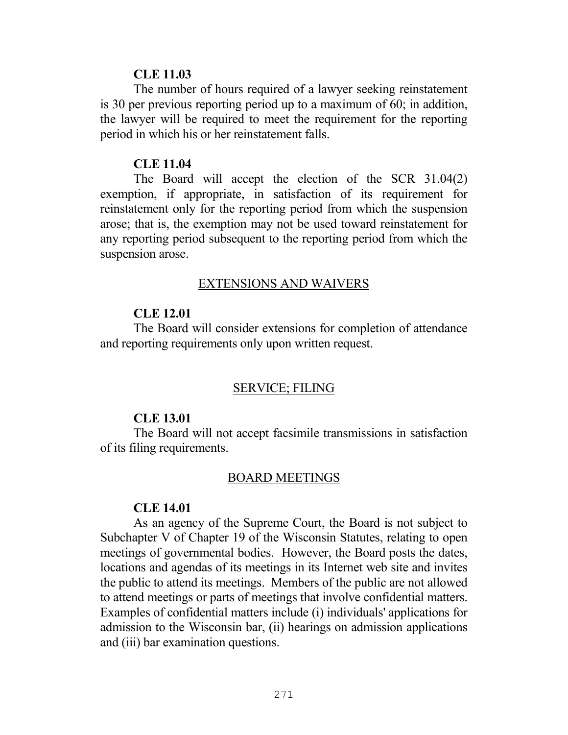#### **CLE 11.03**

 The number of hours required of a lawyer seeking reinstatement is 30 per previous reporting period up to a maximum of 60; in addition, the lawyer will be required to meet the requirement for the reporting period in which his or her reinstatement falls.

#### **CLE 11.04**

 The Board will accept the election of the SCR 31.04(2) exemption, if appropriate, in satisfaction of its requirement for reinstatement only for the reporting period from which the suspension arose; that is, the exemption may not be used toward reinstatement for any reporting period subsequent to the reporting period from which the suspension arose.

#### EXTENSIONS AND WAIVERS

#### **CLE 12.01**

 The Board will consider extensions for completion of attendance and reporting requirements only upon written request.

#### SERVICE; FILING

#### **CLE 13.01**

 The Board will not accept facsimile transmissions in satisfaction of its filing requirements.

# BOARD MEETINGS

#### **CLE 14.01**

 As an agency of the Supreme Court, the Board is not subject to Subchapter V of Chapter 19 of the Wisconsin Statutes, relating to open meetings of governmental bodies. However, the Board posts the dates, locations and agendas of its meetings in its Internet web site and invites the public to attend its meetings. Members of the public are not allowed to attend meetings or parts of meetings that involve confidential matters. Examples of confidential matters include (i) individuals' applications for admission to the Wisconsin bar, (ii) hearings on admission applications and (iii) bar examination questions.